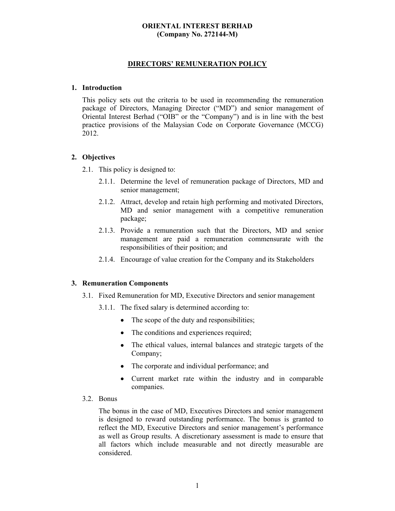# **ORIENTAL INTEREST BERHAD (Company No. 272144-M)**

## **DIRECTORS' REMUNERATION POLICY**

#### **1. Introduction**

This policy sets out the criteria to be used in recommending the remuneration package of Directors, Managing Director ("MD") and senior management of Oriental Interest Berhad ("OIB" or the "Company") and is in line with the best practice provisions of the Malaysian Code on Corporate Governance (MCCG) 2012.

### **2. Objectives**

2.1. This policy is designed to:

- 2.1.1. Determine the level of remuneration package of Directors, MD and senior management;
- 2.1.2. Attract, develop and retain high performing and motivated Directors, MD and senior management with a competitive remuneration package;
- 2.1.3. Provide a remuneration such that the Directors, MD and senior management are paid a remuneration commensurate with the responsibilities of their position; and
- 2.1.4. Encourage of value creation for the Company and its Stakeholders

### **3. Remuneration Components**

- 3.1. Fixed Remuneration for MD, Executive Directors and senior management
	- 3.1.1. The fixed salary is determined according to:
		- The scope of the duty and responsibilities;
		- The conditions and experiences required;
		- The ethical values, internal balances and strategic targets of the Company;
		- The corporate and individual performance; and
		- Current market rate within the industry and in comparable companies.
- 3.2. Bonus

The bonus in the case of MD, Executives Directors and senior management is designed to reward outstanding performance. The bonus is granted to reflect the MD, Executive Directors and senior management's performance as well as Group results. A discretionary assessment is made to ensure that all factors which include measurable and not directly measurable are considered.